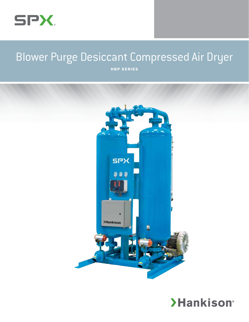

# Blower Purge Desiccant Compressed Air Dryer

**HBP Series**



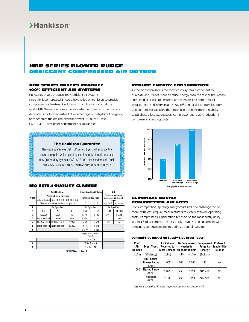# **>Hankison**®

# HBP SERIES BLOWER PURGE DESICCANT COMPRESSED AIR DRYERS

# HBP SERIES DRYERS PRODUCE 100% EFFICIENT AIR SYSTEMS

HBP Series Dryers produce 100% efficient air systems. Since 1948, compressed air users have relied on Hankison to provide compressed air treatment solutions for applications around the world. HBP Series dryers improve air system efficiency by the use of a dedicated axial blower, instead of a percentage of dehydrated purge air, to regenerate the off-line desiccant tower. ISO 8573.1 Class 2 (-40°F/-40°C) dew point performance is guaranteed.

#### <u>AMMAMAMAMAMAMAMAMAMAMA</u>

# The Hankison Guarantee

Hankison guarantees that HBP Series dryers will produce the design dew point while operating continuously at maximum rated flow (100% duty cycle) at CAGI ADF 200 inlet standards of 100°F inlet temperature and 100% relative humidity at 100 psig.

#### 

#### ISO 8573.1 QUALITY CLASSES

|                |                      | <b>Solid Particles</b>                                                              |                    |                  | <b>Humidity &amp; Liquid Water</b>           | Oil                                                          |              |  |  |
|----------------|----------------------|-------------------------------------------------------------------------------------|--------------------|------------------|----------------------------------------------|--------------------------------------------------------------|--------------|--|--|
| Class          |                      | Particle Size, d (micron)<br>$0.10 < d \le 0.5$ $0.5 < d \le 1.0$ 1.0 $< d \le 5.0$ |                    |                  | <b>Pressure Dew Point</b>                    | <b>Total concentration.</b><br>Aerosol, Liquid, and<br>Vapor |              |  |  |
|                |                      | Maximum Number of Particles per m <sup>3</sup>                                      |                    | °C               | °F                                           | mq/m <sup>3</sup>                                            | ppm w/w      |  |  |
| 0              |                      | As Specified                                                                        |                    | As Specified     |                                              |                                                              | As Specified |  |  |
| 1              | 100                  | 0                                                                                   |                    |                  | $\leq -94$                                   | $\leq 0.01$                                                  | $\leq 0.008$ |  |  |
| $\overline{2}$ | 100.000              | 1.000                                                                               | 10                 | $\leq -40$       | $\leq -40$                                   | $\leq 0.1$                                                   | $\leq 0.08$  |  |  |
| 3              | <b>Not Specified</b> | 10.000                                                                              | 500                | $\leq$ -20       | $\lt -4$                                     | $\leq$ 1                                                     | $\leq 0.8$   |  |  |
| 4              | <b>Not Specified</b> | <b>Not Specified</b>                                                                | 1,000              | $\leq +3$        | $\leq +38$                                   | $\leq 5$                                                     | $\leq 4$     |  |  |
| 5              | Not Specified        | <b>Not Specified</b>                                                                | 20,000             | $\leq +7$        | $\leq +45$                                   |                                                              |              |  |  |
| 6              |                      |                                                                                     |                    | $\leq +10$       | $< +50$                                      |                                                              |              |  |  |
|                |                      |                                                                                     |                    |                  | Liquid Water Content.<br>Cw q/m <sup>3</sup> |                                                              |              |  |  |
| 7              |                      |                                                                                     |                    |                  | $\mathrm{Cw} \leq 0.5$                       |                                                              |              |  |  |
| 8              |                      |                                                                                     |                    | $0.5 < Cw \le 5$ |                                              |                                                              |              |  |  |
| 9              |                      |                                                                                     |                    |                  | $5 < Cw \leq 10$                             |                                                              |              |  |  |
|                |                      |                                                                                     | 100000001001001001 |                  |                                              |                                                              |              |  |  |

Per ISO8573-1: 2001(E)

# REDUCE ENERGY CONSUMPTION

As the air compressor is the most costly system component to purchase and, it uses more electrical energy than the rest of the system combined, it is wise to ensure that the smallest air compressor is installed. HBP Series dryers are 100% efficient at delivering full supplyside compressor capacity. Therefore, users benefit from the ability to purchase a less expensive air compressor and, a 20% reduction in compressor operating costs.



#### ELIMINATE COSTLY COMPRESSED AIR LOSS

Global competition, spiraling energy costs and, the challenge to "do more, with less" require manufacturers to closely examine operating costs. Compressed air generation tends to be the most costly utility within a facility. Eliminate air loss to align supply-side equipment with demand-side requirements to optimize your air system.

#### Demand-Side Impact on Supply-Side Dryer Types

| Plant<br>Air<br>Demand | <b>Dryer Types</b>                                    | Air Volume<br><b>Required to</b><br><b>Meet Demand Meet Air Volume</b> |      | <b>Air Compressor</b><br><b>Needed to</b> | Compressed<br><b>Purge Air</b><br>Penalty* | Preferred<br>Supply-Side<br><b>Solution</b> |
|------------------------|-------------------------------------------------------|------------------------------------------------------------------------|------|-------------------------------------------|--------------------------------------------|---------------------------------------------|
| (scfm)                 | (efficiency)                                          | (scfm)                                                                 | (HP) | (scfm)                                    | (Dollars)                                  |                                             |
| 1000                   | <b>HBP Series</b><br><b>Blower Purge</b><br>$(100\%)$ | 1.000                                                                  | 200  | 1.000                                     | \$0                                        | Yes                                         |
|                        | <b>Heated Purge</b><br>(93%)                          | 1.075                                                                  | 250  | 1250                                      | \$11.436                                   | No                                          |
|                        | <b>Heatless</b><br>(85%)                              | 1.176                                                                  | 250  | 1250                                      | \$24.506                                   | No                                          |

*\* Assumes 5 scfm/HP, 8760 hours of operation per year, 10 cents per kW/h*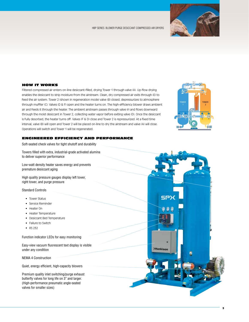



## HOW IT WORKS

Filtered compressed air enters on-line desiccant-filled, drying Tower 1 through valve (A). Up-flow drying enables the desiccant to strip moisture from the airstream. Clean, dry compressed air exits through (E) to feed the air system. Tower 2 (shown in regeneration mode) valve (B) closed, depressurizes to atmosphere through muffler (C). Valves (D & F) open and the heater turns on. The high-efficiency blower draws ambient air and feeds it through the heater. The ambient airstream passes through valve (F) and flows downward through the moist desiccant in Tower 2, collecting water vapor before exiting valve (D). Once the desiccant is fully desorbed, the heater turns off. Valves (F & D) close and Tower 2 is repressurized. At a fixed time interval, valve (B) will open and Tower 2 will be placed on-line to dry the airstream and valve (A) will close. Operations will switch and Tower 1 will be regenerated.



#### ENGINEERED EFFICIENCY AND PERFORMANCE

Soft-seated check valves for tight shutoff and durability

Towers filled with extra, industrial-grade activated alumina to deliver superior performance

Low-watt density heater saves energy and prevents premature desiccant aging

High quality pressure gauges display left tower, right tower, and purge pressure

Standard Controls

- Tower Status
- Service Reminder
- • Heater On
- • Heater Temperature
- • Desiccant Bed Temperature
- Failure to Switch
- RS 232

Function indicator LEDs for easy monitoring

Easy-view vacuum fluorescent text display is visible under any condition

NEMA 4 Construction

Quiet, energy efficient, high-capacity blowers

Premium quality inlet switching/purge exhaust butterfly valves for long life on 3" and larger. (High-performance pneumatic angle-seated valves for smaller sizes)